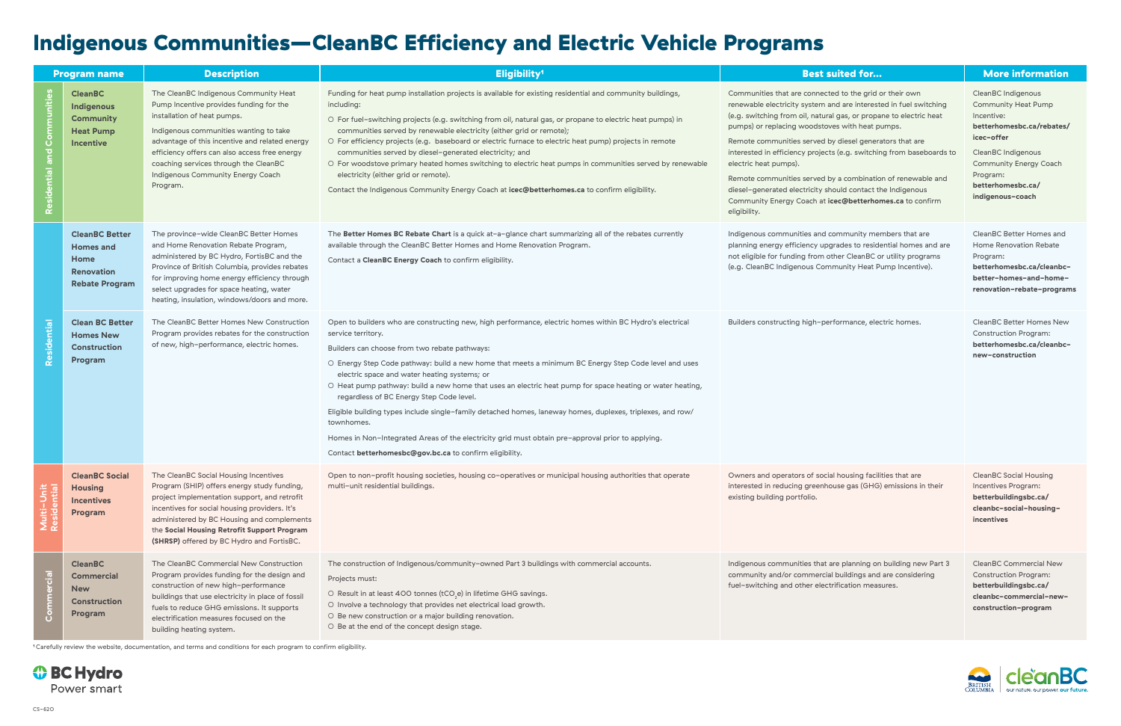|                            | <b>Program name</b>                                                                      | <b>Description</b>                                                                                                                                                                                                                                                                                                                                     | Eligibility <sup>1</sup>                                                                                                                                                                                                                                                                                                                                                                                                                                                                                                                                                                                                                                                                                                                                                                     | <b>Best suited for</b>                                                                                                                                                                                                                                                                                                                                                                                                                                                                                                                                                                                                     | <b>More information</b>                                                                                                                                                                                               |
|----------------------------|------------------------------------------------------------------------------------------|--------------------------------------------------------------------------------------------------------------------------------------------------------------------------------------------------------------------------------------------------------------------------------------------------------------------------------------------------------|----------------------------------------------------------------------------------------------------------------------------------------------------------------------------------------------------------------------------------------------------------------------------------------------------------------------------------------------------------------------------------------------------------------------------------------------------------------------------------------------------------------------------------------------------------------------------------------------------------------------------------------------------------------------------------------------------------------------------------------------------------------------------------------------|----------------------------------------------------------------------------------------------------------------------------------------------------------------------------------------------------------------------------------------------------------------------------------------------------------------------------------------------------------------------------------------------------------------------------------------------------------------------------------------------------------------------------------------------------------------------------------------------------------------------------|-----------------------------------------------------------------------------------------------------------------------------------------------------------------------------------------------------------------------|
| Residential and Communitie | <b>CleanBC</b><br>Indigenous<br><b>Community</b><br><b>Heat Pump</b><br>Incentive        | The CleanBC Indigenous Community Heat<br>Pump Incentive provides funding for the<br>installation of heat pumps.<br>Indigenous communities wanting to take<br>advantage of this incentive and related energy<br>efficiency offers can also access free energy<br>coaching services through the CleanBC<br>Indigenous Community Energy Coach<br>Program. | Funding for heat pump installation projects is available for existing residential and community buildings,<br>including:<br>O For fuel-switching projects (e.g. switching from oil, natural gas, or propane to electric heat pumps) in<br>communities served by renewable electricity (either grid or remote);<br>O For efficiency projects (e.g. baseboard or electric furnace to electric heat pump) projects in remote<br>communities served by diesel-generated electricity; and<br>O For woodstove primary heated homes switching to electric heat pumps in communities served by renewable<br>electricity (either grid or remote).<br>Contact the Indigenous Community Energy Coach at icec@betterhomes.ca to confirm eligibility.                                                     | Communities that are connected to the grid or their own<br>renewable electricity system and are interested in fuel switching<br>(e.g. switching from oil, natural gas, or propane to electric heat<br>pumps) or replacing woodstoves with heat pumps.<br>Remote communities served by diesel generators that are<br>interested in efficiency projects (e.g. switching from baseboards to<br>electric heat pumps).<br>Remote communities served by a combination of renewable and<br>diesel-generated electricity should contact the Indigenous<br>Community Energy Coach at icec@betterhomes.ca to confirm<br>eligibility. | CleanBC Indigenous<br><b>Community Heat Pump</b><br>Incentive:<br>betterhomesbc.ca/rebates/<br>icec-offer<br>CleanBC Indigenous<br><b>Community Energy Coach</b><br>Program:<br>betterhomesbc.ca/<br>indigenous-coach |
|                            | <b>CleanBC Better</b><br><b>Homes and</b><br>Home<br>Renovation<br><b>Rebate Program</b> | The province-wide CleanBC Better Homes<br>and Home Renovation Rebate Program,<br>administered by BC Hydro, FortisBC and the<br>Province of British Columbia, provides rebates<br>for improving home energy efficiency through<br>select upgrades for space heating, water<br>heating, insulation, windows/doors and more.                              | The Better Homes BC Rebate Chart is a quick at-a-glance chart summarizing all of the rebates currently<br>available through the CleanBC Better Homes and Home Renovation Program.<br>Contact a CleanBC Energy Coach to confirm eligibility.                                                                                                                                                                                                                                                                                                                                                                                                                                                                                                                                                  | Indigenous communities and community members that are<br>planning energy efficiency upgrades to residential homes and are<br>not eligible for funding from other CleanBC or utility programs<br>(e.g. CleanBC Indigenous Community Heat Pump Incentive).                                                                                                                                                                                                                                                                                                                                                                   | CleanBC Better Homes and<br>Home Renovation Rebate<br>Program:<br>betterhomesbc.ca/cleanbc-<br>better-homes-and-home-<br>renovation-rebate-programs                                                                   |
| Residential                | <b>Clean BC Better</b><br><b>Homes New</b><br><b>Construction</b><br>Program             | The CleanBC Better Homes New Construction<br>Program provides rebates for the construction<br>of new, high-performance, electric homes.                                                                                                                                                                                                                | Open to builders who are constructing new, high performance, electric homes within BC Hydro's electrical<br>service territory.<br>Builders can choose from two rebate pathways:<br>O Energy Step Code pathway: build a new home that meets a minimum BC Energy Step Code level and uses<br>electric space and water heating systems; or<br>O Heat pump pathway: build a new home that uses an electric heat pump for space heating or water heating,<br>regardless of BC Energy Step Code level.<br>Eligible building types include single-family detached homes, laneway homes, duplexes, triplexes, and row/<br>townhomes.<br>Homes in Non-Integrated Areas of the electricity grid must obtain pre-approval prior to applying.<br>Contact betterhomesbc@gov.bc.ca to confirm eligibility. | Builders constructing high-performance, electric homes.                                                                                                                                                                                                                                                                                                                                                                                                                                                                                                                                                                    | CleanBC Better Homes New<br><b>Construction Program:</b><br>betterhomesbc.ca/cleanbc-<br>new-construction                                                                                                             |
|                            | <b>CleanBC Social</b><br><b>Housing</b><br><b>Incentives</b><br>Program                  | The CleanBC Social Housing Incentives<br>Program (SHIP) offers energy study funding,<br>project implementation support, and retrofit<br>incentives for social housing providers. It's<br>administered by BC Housing and complements<br>the Social Housing Retrofit Support Program<br>(SHRSP) offered by BC Hydro and FortisBC.                        | Open to non-profit housing societies, housing co-operatives or municipal housing authorities that operate<br>multi-unit residential buildings.                                                                                                                                                                                                                                                                                                                                                                                                                                                                                                                                                                                                                                               | Owners and operators of social housing facilities that are<br>interested in reducing greenhouse gas (GHG) emissions in their<br>existing building portfolio.                                                                                                                                                                                                                                                                                                                                                                                                                                                               | <b>CleanBC Social Housing</b><br>Incentives Program:<br>betterbuildingsbc.ca/<br>cleanbc-social-housing-<br>incentives                                                                                                |
| Commercial                 | <b>CleanBC</b><br><b>Commercial</b><br><b>New</b><br><b>Construction</b><br>Program      | The CleanBC Commercial New Construction<br>Program provides funding for the design and<br>construction of new high-performance<br>buildings that use electricity in place of fossil<br>fuels to reduce GHG emissions. It supports<br>electrification measures focused on the<br>building heating system.                                               | The construction of Indigenous/community-owned Part 3 buildings with commercial accounts.<br>Projects must:<br>O Result in at least 400 tonnes (tCO <sub>2</sub> e) in lifetime GHG savings.<br>O Involve a technology that provides net electrical load growth.<br>O Be new construction or a major building renovation.<br>O Be at the end of the concept design stage.                                                                                                                                                                                                                                                                                                                                                                                                                    | Indigenous communities that are planning on building new Part 3<br>community and/or commercial buildings and are considering<br>fuel-switching and other electrification measures.                                                                                                                                                                                                                                                                                                                                                                                                                                         | CleanBC Commercial New<br><b>Construction Program:</b><br>betterbuildingsbc.ca/<br>cleanbc-commercial-new-<br>construction-program                                                                                    |

1 Carefully review the website, documentation, and terms and conditions for each program to confirm eligibility.

*O* BC Hydro Power smart

## Indigenous Communities—CleanBC Efficiency and Electric Vehicle Programs